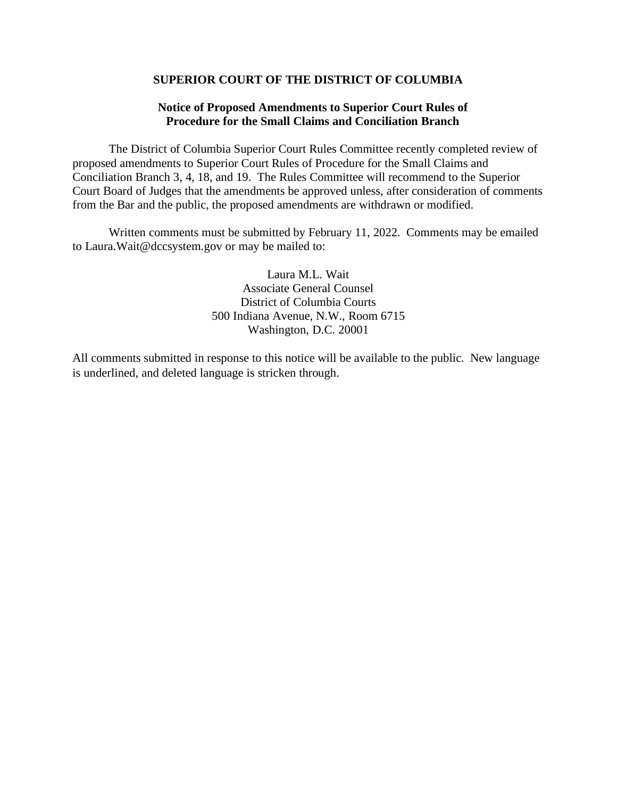#### **SUPERIOR COURT OF THE DISTRICT OF COLUMBIA**

### **Notice of Proposed Amendments to Superior Court Rules of Procedure for the Small Claims and Conciliation Branch**

The District of Columbia Superior Court Rules Committee recently completed review of proposed amendments to Superior Court Rules of Procedure for the Small Claims and Conciliation Branch 3, 4, 18, and 19. The Rules Committee will recommend to the Superior Court Board of Judges that the amendments be approved unless, after consideration of comments from the Bar and the public, the proposed amendments are withdrawn or modified.

Written comments must be submitted by February 11, 2022. Comments may be emailed to Laura.Wait@dccsystem.gov or may be mailed to:

> Laura M.L. Wait Associate General Counsel District of Columbia Courts 500 Indiana Avenue, N.W., Room 6715 Washington, D.C. 20001

All comments submitted in response to this notice will be available to the public. New language is underlined, and deleted language is stricken through.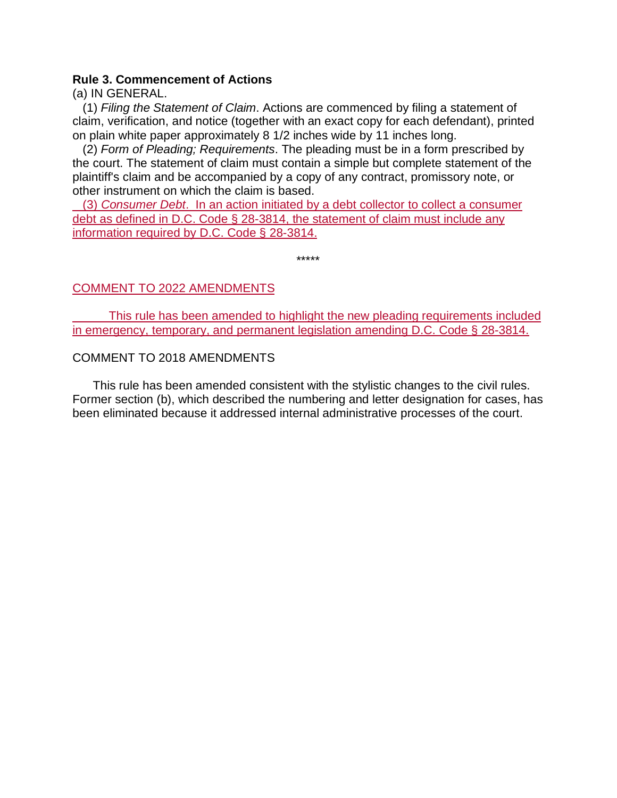### **Rule 3. Commencement of Actions**

(a) IN GENERAL.

 (1) *Filing the Statement of Claim*. Actions are commenced by filing a statement of claim, verification, and notice (together with an exact copy for each defendant), printed on plain white paper approximately 8 1/2 inches wide by 11 inches long.

 (2) *Form of Pleading; Requirements*. The pleading must be in a form prescribed by the court. The statement of claim must contain a simple but complete statement of the plaintiff's claim and be accompanied by a copy of any contract, promissory note, or other instrument on which the claim is based.

 (3) *Consumer Debt*. In an action initiated by a debt collector to collect a consumer debt as defined in D.C. Code § 28-3814, the statement of claim must include any information required by D.C. Code § 28-3814.

\*\*\*\*\*

# COMMENT TO 2022 AMENDMENTS

This rule has been amended to highlight the new pleading requirements included in emergency, temporary, and permanent legislation amending D.C. Code § 28-3814.

# COMMENT TO 2018 AMENDMENTS

 This rule has been amended consistent with the stylistic changes to the civil rules. Former section (b), which described the numbering and letter designation for cases, has been eliminated because it addressed internal administrative processes of the court.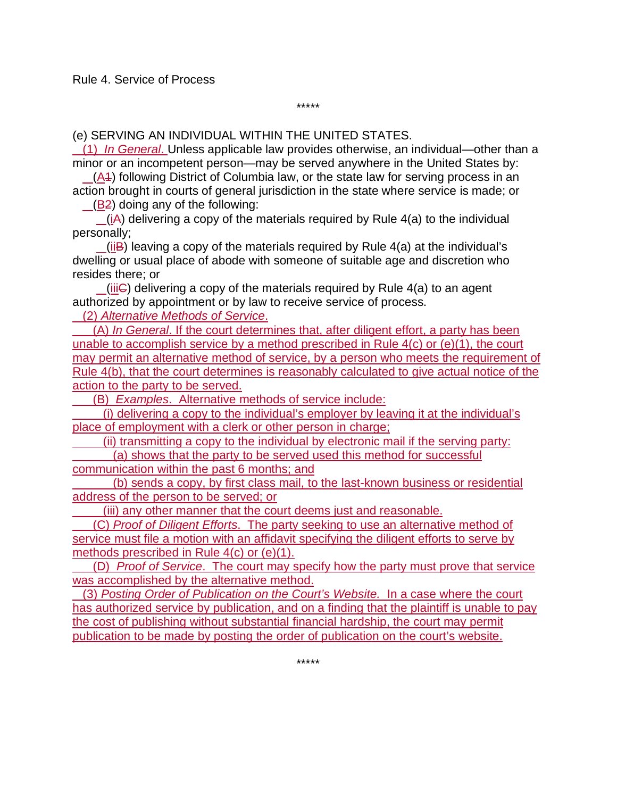(e) SERVING AN INDIVIDUAL WITHIN THE UNITED STATES.

 (1) *In General*. Unless applicable law provides otherwise, an individual—other than a minor or an incompetent person—may be served anywhere in the United States by:

\*\*\*\*\*

 (A1) following District of Columbia law, or the state law for serving process in an action brought in courts of general jurisdiction in the state where service is made; or

(B2) doing any of the following:

 (iA) delivering a copy of the materials required by Rule 4(a) to the individual personally;

 $(iiB)$  leaving a copy of the materials required by Rule  $4(a)$  at the individual's dwelling or usual place of abode with someone of suitable age and discretion who resides there; or

 $(iii)$  delivering a copy of the materials required by Rule  $4(a)$  to an agent authorized by appointment or by law to receive service of process.

(2) *Alternative Methods of Service*.

 (A) *In General*. If the court determines that, after diligent effort, a party has been unable to accomplish service by a method prescribed in Rule  $4(c)$  or  $(e)(1)$ , the court may permit an alternative method of service, by a person who meets the requirement of Rule 4(b), that the court determines is reasonably calculated to give actual notice of the action to the party to be served.

(B) *Examples*. Alternative methods of service include:

 (i) delivering a copy to the individual's employer by leaving it at the individual's place of employment with a clerk or other person in charge;

 (ii) transmitting a copy to the individual by electronic mail if the serving party: (a) shows that the party to be served used this method for successful

communication within the past 6 months; and

 (b) sends a copy, by first class mail, to the last-known business or residential address of the person to be served; or

(iii) any other manner that the court deems just and reasonable.

 (C) *Proof of Diligent Efforts*. The party seeking to use an alternative method of service must file a motion with an affidavit specifying the diligent efforts to serve by methods prescribed in Rule 4(c) or (e)(1).

 (D) *Proof of Service*. The court may specify how the party must prove that service was accomplished by the alternative method.

 (3) *Posting Order of Publication on the Court's Website.* In a case where the court has authorized service by publication, and on a finding that the plaintiff is unable to pay the cost of publishing without substantial financial hardship, the court may permit publication to be made by posting the order of publication on the court's website.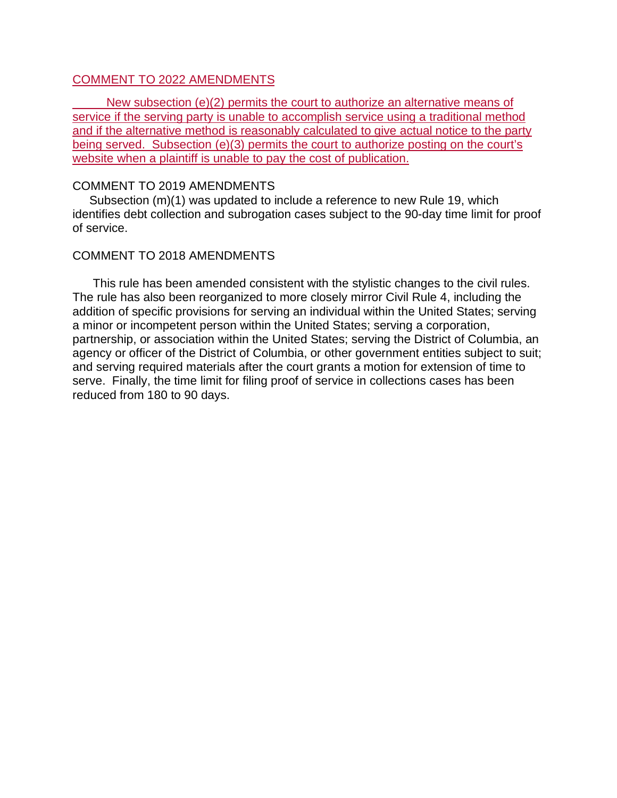### COMMENT TO 2022 AMENDMENTS

 New subsection (e)(2) permits the court to authorize an alternative means of service if the serving party is unable to accomplish service using a traditional method and if the alternative method is reasonably calculated to give actual notice to the party being served. Subsection (e)(3) permits the court to authorize posting on the court's website when a plaintiff is unable to pay the cost of publication.

### COMMENT TO 2019 AMENDMENTS

 Subsection (m)(1) was updated to include a reference to new Rule 19, which identifies debt collection and subrogation cases subject to the 90-day time limit for proof of service.

### COMMENT TO 2018 AMENDMENTS

 This rule has been amended consistent with the stylistic changes to the civil rules. The rule has also been reorganized to more closely mirror Civil Rule 4, including the addition of specific provisions for serving an individual within the United States; serving a minor or incompetent person within the United States; serving a corporation, partnership, or association within the United States; serving the District of Columbia, an agency or officer of the District of Columbia, or other government entities subject to suit; and serving required materials after the court grants a motion for extension of time to serve. Finally, the time limit for filing proof of service in collections cases has been reduced from 180 to 90 days.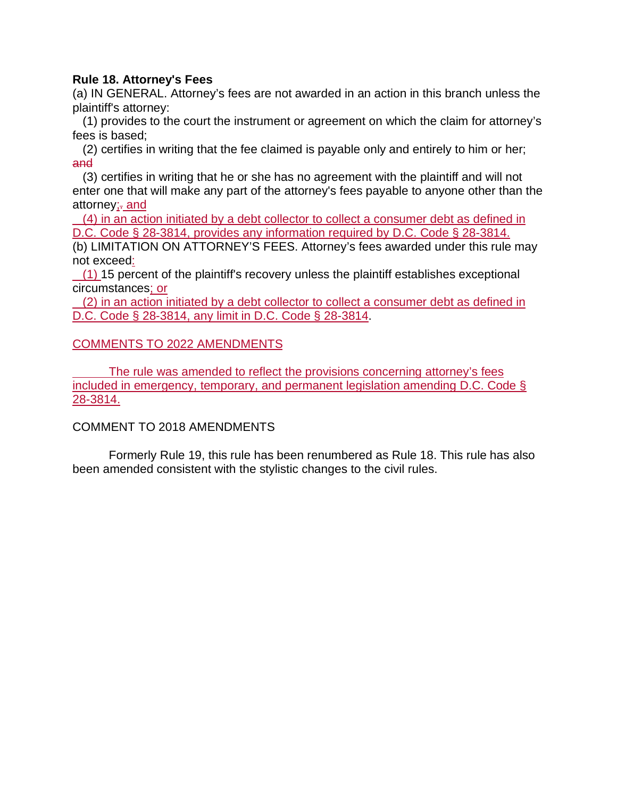## **Rule 18. Attorney's Fees**

(a) IN GENERAL. Attorney's fees are not awarded in an action in this branch unless the plaintiff's attorney:

 (1) provides to the court the instrument or agreement on which the claim for attorney's fees is based;

 (2) certifies in writing that the fee claimed is payable only and entirely to him or her; and

 (3) certifies in writing that he or she has no agreement with the plaintiff and will not enter one that will make any part of the attorney's fees payable to anyone other than the attorney; and

 (4) in an action initiated by a debt collector to collect a consumer debt as defined in D.C. Code § 28-3814, provides any information required by D.C. Code § 28-3814.

(b) LIMITATION ON ATTORNEY'S FEES. Attorney's fees awarded under this rule may not exceed:

 $(1)$  15 percent of the plaintiff's recovery unless the plaintiff establishes exceptional circumstances; or

 (2) in an action initiated by a debt collector to collect a consumer debt as defined in D.C. Code § 28-3814, any limit in D.C. Code § 28-3814.

# COMMENTS TO 2022 AMENDMENTS

The rule was amended to reflect the provisions concerning attorney's fees included in emergency, temporary, and permanent legislation amending D.C. Code § 28-3814.

# COMMENT TO 2018 AMENDMENTS

Formerly Rule 19, this rule has been renumbered as Rule 18. This rule has also been amended consistent with the stylistic changes to the civil rules.